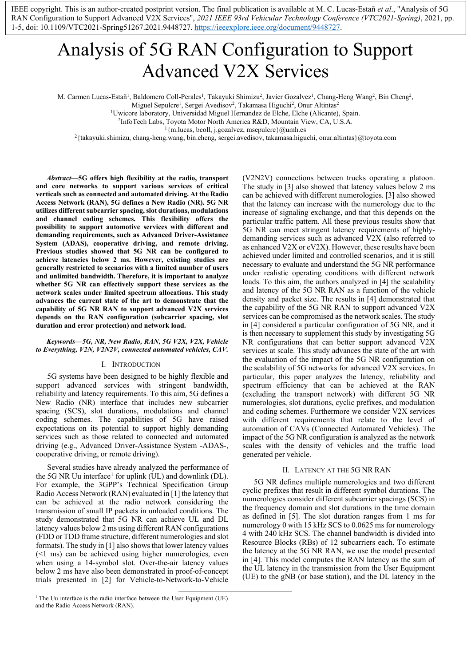IEEE copyright. This is an author-created postprint version. The final publication is available at M. C. Lucas-Estañ *et al*., "Analysis of 5G RAN Configuration to Support Advanced V2X Services", *2021 IEEE 93rd Vehicular Technology Conference (VTC2021-Spring)*, 2021, pp. 1-5, doi: 10.1109/VTC2021-Spring51267.2021.9448727. [https://ieeexplore.ieee.org/document/9448727.](https://ieeexplore.ieee.org/document/9448727)

# Analysis of 5G RAN Configuration to Support Advanced V2X Services

M. Carmen Lucas-Estañ<sup>1</sup>, Baldomero Coll-Perales<sup>1</sup>, Takayuki Shimizu<sup>2</sup>, Javier Gozalvez<sup>1</sup>, Chang-Heng Wang<sup>2</sup>, Bin Cheng<sup>2</sup>,

Miguel Sepulcre<sup>1</sup>, Sergei Avedisov<sup>2</sup>, Takamasa Higuchi<sup>2</sup>, Onur Altintas<sup>2</sup>

<sup>1</sup>Uwicore laboratory, Universidad Miguel Hernandez de Elche, Elche (Alicante), Spain.

2InfoTech Labs, Toyota Motor North America R&D, Mountain View, CA, U.S.A.

1{m.lucas, bcoll, j.gozalvez, msepulcre}@umh.es 2{takayuki.shimizu, chang-heng.wang, bin.cheng, sergei.avedisov, takamasa.higuchi, onur.altintas}@toyota.com

*Abstract***—5G offers high flexibility at the radio, transport and core networks to support various services of critical verticals such as connected and automated driving. At the Radio Access Network (RAN), 5G defines a New Radio (NR). 5G NR utilizes different subcarrier spacing, slot durations, modulations and channel coding schemes. This flexibility offers the possibility to support automotive services with different and demanding requirements, such as Advanced Driver-Assistance System (ADAS), cooperative driving, and remote driving. Previous studies showed that 5G NR can be configured to achieve latencies below 2 ms. However, existing studies are generally restricted to scenarios with a limited number of users and unlimited bandwidth. Therefore, it is important to analyze whether 5G NR can effectively support these services as the network scales under limited spectrum allocations. This study advances the current state of the art to demonstrate that the capability of 5G NR RAN to support advanced V2X services depends on the RAN configuration (subcarrier spacing, slot duration and error protection) and network load.** 

## *Keywords—5G, NR, New Radio, RAN, 5G V2X, V2X, Vehicle to Everything, V2N, V2N2V, connected automated vehicles, CAV.*

## I. INTRODUCTION

5G systems have been designed to be highly flexible and support advanced services with stringent bandwidth, reliability and latency requirements. To this aim, 5G defines a New Radio (NR) interface that includes new subcarrier spacing (SCS), slot durations, modulations and channel coding schemes. The capabilities of 5G have raised expectations on its potential to support highly demanding services such as those related to connected and automated driving (e.g., Advanced Driver-Assistance System -ADAS-, cooperative driving, or remote driving).

Several studies have already analyzed the performance of the 5G NR Uu interface<sup>[1](#page-0-0)</sup> for uplink (UL) and downlink (DL). For example, the 3GPP's Technical Specification Group Radio Access Network (RAN) evaluated in [\[1\]](#page-4-0) the latency that can be achieved at the radio network considering the transmission of small IP packets in unloaded conditions. The study demonstrated that 5G NR can achieve UL and DL latency values below 2 ms using different RAN configurations (FDD or TDD frame structure, different numerologies and slot formats). The study in [\[1\]](#page-4-0) also shows that lower latency values (<1 ms) can be achieved using higher numerologies, even when using a 14-symbol slot. Over-the-air latency values below 2 ms have also been demonstrated in proof-of-concept trials presented in [\[2\]](#page-4-1) for Vehicle-to-Network-to-Vehicle

(V2N2V) connections between trucks operating a platoon. The study in [\[3\]](#page-4-2) also showed that latency values below 2 ms can be achieved with different numerologies[. \[3\]](#page-4-2) also showed that the latency can increase with the numerology due to the increase of signaling exchange, and that this depends on the particular traffic pattern. All these previous results show that 5G NR can meet stringent latency requirements of highlydemanding services such as advanced V2X (also referred to as enhanced V2X or eV2X). However, these results have been achieved under limited and controlled scenarios, and it is still necessary to evaluate and understand the 5G NR performance under realistic operating conditions with different network loads. To this aim, the authors analyzed in [\[4\]](#page-4-3) the scalability and latency of the 5G NR RAN as a function of the vehicle density and packet size. The results in [\[4\]](#page-4-3) demonstrated that the capability of the 5G NR RAN to support advanced V2X services can be compromised as the network scales. The study in [\[4\]](#page-4-3) considered a particular configuration of 5G NR, and it is then necessary to supplement this study by investigating 5G NR configurations that can better support advanced V2X services at scale. This study advances the state of the art with the evaluation of the impact of the 5G NR configuration on the scalability of 5G networks for advanced V2X services. In particular, this paper analyzes the latency, reliability and spectrum efficiency that can be achieved at the RAN (excluding the transport network) with different 5G NR numerologies, slot durations, cyclic prefixes, and modulation and coding schemes. Furthermore we consider V2X services with different requirements that relate to the level of automation of CAVs (Connected Automated Vehicles). The impact of the 5G NR configuration is analyzed as the network scales with the density of vehicles and the traffic load generated per vehicle.

## II. LATENCY AT THE 5G NR RAN

5G NR defines multiple numerologies and two different cyclic prefixes that result in different symbol durations. The numerologies consider different subcarrier spacings (SCS) in the frequency domain and slot durations in the time domain as defined in [\[5\].](#page-4-4) The slot duration ranges from 1 ms for numerology 0 with 15 kHz SCS to 0.0625 ms for numerology 4 with 240 kHz SCS. The channel bandwidth is divided into Resource Blocks (RBs) of 12 subcarriers each. To estimate the latency at the 5G NR RAN, we use the model presented in [\[4\].](#page-4-3) This model computes the RAN latency as the sum of the UL latency in the transmission from the User Equipment (UE) to the gNB (or base station), and the DL latency in the

<span id="page-0-0"></span><sup>&</sup>lt;sup>1</sup> The Uu interface is the radio interface between the User Equipment (UE) and the Radio Access Network (RAN).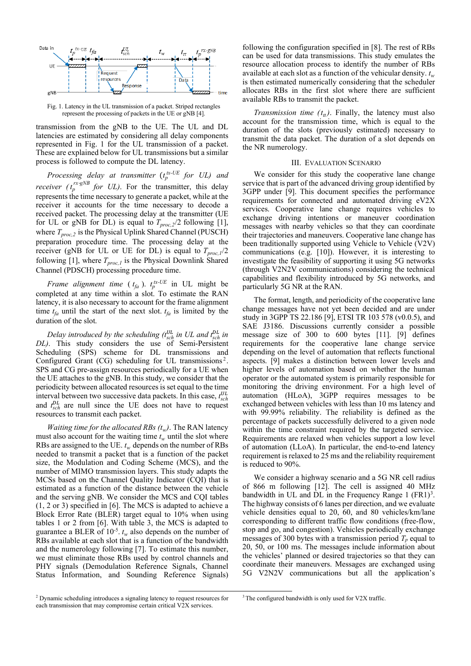

Fig. 1. Latency in the UL transmission of a packet. Striped rectangles represent the processing of packets in the UE or gN[B \[4\].](#page-4-3)

transmission from the gNB to the UE. The UL and DL latencies are estimated by considering all delay components represented in Fig. 1 for the UL transmission of a packet. These are explained below for UL transmissions but a similar process is followed to compute the DL latency.

*Processing delay at transmitter* ( $t_p^{tx-UE}$  *for UL) and receiver (* $t_p^{rx}$ *<sup><i>gNB</sup> for UL)*. For the transmitter, this delay</sup> represents the time necessary to generate a packet, while at the receiver it accounts for the time necessary to decode a received packet. The processing delay at the transmitter (UE for UL or gNB for DL) is equal to  $T_{proc,2}/2$  following [\[1\],](#page-4-0) where  $T_{proc,2}$  is the Physical Uplink Shared Channel (PUSCH) preparation procedure time. The processing delay at the receiver (gNB for UL or UE for DL) is equal to  $T_{proc,1}/2$ following [\[1\],](#page-4-0) where  $T_{proc,1}$  is the Physical Downlink Shared Channel (PDSCH) processing procedure time.

*Frame alignment time* ( $t_{fa}$ ).  $t_p^{tx-UE}$  in UL might be completed at any time within a slot. To estimate the RAN latency, it is also necessary to account for the frame alignment time  $t_{fa}$  until the start of the next slot.  $t_{fa}$  is limited by the duration of the slot.

*Delay introduced by the scheduling*  $(t_{sch}^{UL}$  *in UL and*  $t_{sch}^{DL}$  *in DL)*. This study considers the use of Semi-Persistent Scheduling (SPS) scheme for DL transmissions and Configured Grant (CG) scheduling for UL transmissions<sup>[2](#page-1-0)</sup>. SPS and CG pre-assign resources periodically for a UE when the UE attaches to the gNB. In this study, we consider that the periodicity between allocated resources is set equal to the time interval between two successive data packets. In this case,  $t_{sch}^{UL}$ and  $t_{sch}^{DL}$  are null since the UE does not have to request resources to transmit each packet.

*Waiting time for the allocated RBs*  $(t_w)$ . The RAN latency must also account for the waiting time  $t_w$  until the slot where RBs are assigned to the UE.  $t_w$  depends on the number of RBs needed to transmit a packet that is a function of the packet size, the Modulation and Coding Scheme (MCS), and the number of MIMO transmission layers. This study adapts the MCSs based on the Channel Quality Indicator (CQI) that is estimated as a function of the distance between the vehicle and the serving gNB. We consider the MCS and CQI tables (1, 2 or 3) specified in [\[6\].](#page-4-5) The MCS is adapted to achieve a Block Error Rate (BLER) target equal to 10% when using tables 1 or 2 from [\[6\].](#page-4-5) With table 3, the MCS is adapted to guarantee a BLER of  $10^{-5}$ .  $t_w$  also depends on the number of RBs available at each slot that is a function of the bandwidth and the numerology following [\[7\].](#page-4-6) To estimate this number, we must eliminate those RBs used by control channels and PHY signals (Demodulation Reference Signals, Channel Status Information, and Sounding Reference Signals)

following the configuration specified in [\[8\].](#page-4-7) The rest of RBs can be used for data transmissions. This study emulates the resource allocation process to identify the number of RBs available at each slot as a function of the vehicular density.  $t_w$ is then estimated numerically considering that the scheduler allocates RBs in the first slot where there are sufficient available RBs to transmit the packet.

*Transmission time*  $(t<sub>tt</sub>)$ . Finally, the latency must also account for the transmission time, which is equal to the duration of the slots (previously estimated) necessary to transmit the data packet. The duration of a slot depends on the NR numerology.

## III. EVALUATION SCENARIO

We consider for this study the cooperative lane change service that is part of the advanced driving group identified by 3GPP under [\[9\].](#page-4-8) This document specifies the performance requirements for connected and automated driving eV2X services. Cooperative lane change requires vehicles to exchange driving intentions or maneuver coordination messages with nearby vehicles so that they can coordinate their trajectories and maneuvers. Cooperative lane change has been traditionally supported using Vehicle to Vehicle (V2V) communications (e.g. [\[10\]\)](#page-4-9). However, it is interesting to investigate the feasibility of supporting it using 5G networks (through V2N2V communications) considering the technical capabilities and flexibility introduced by 5G networks, and particularly 5G NR at the RAN.

The format, length, and periodicity of the cooperative lane change messages have not yet been decided and are under study in 3GPP TS 22.186 [\[9\],](#page-4-8) ETSI TR 103 578 (v0.0.5), and SAE J3186. Discussions currently consider a possible message size of 300 to 600 bytes [\[11\].](#page-4-10) [\[9\]](#page-4-8) defines requirements for the cooperative lane change service depending on the level of automation that reflects functional aspects. [\[9\]](#page-4-8) makes a distinction between lower levels and higher levels of automation based on whether the human operator or the automated system is primarily responsible for monitoring the driving environment. For a high level of automation (HLoA), 3GPP requires messages to be exchanged between vehicles with less than 10 ms latency and with 99.99% reliability. The reliability is defined as the percentage of packets successfully delivered to a given node within the time constraint required by the targeted service. Requirements are relaxed when vehicles support a low level of automation (LLoA). In particular, the end-to-end latency requirement is relaxed to 25 ms and the reliability requirement is reduced to 90%.

We consider a highway scenario and a 5G NR cell radius of 866 m following [\[12\].](#page-4-11) The cell is assigned 40 MHz bandwidth in UL and DL in the Frequency Range  $1$  (FR1)<sup>[3](#page-1-0)</sup>. The highway consists of 6 lanes per direction, and we evaluate vehicle densities equal to 20, 60, and 80 vehicles/km/lane corresponding to different traffic flow conditions (free-flow, stop and go, and congestion). Vehicles periodically exchange messages of 300 bytes with a transmission period  $T_p$  equal to 20, 50, or 100 ms. The messages include information about the vehicles' planned or desired trajectories so that they can coordinate their maneuvers. Messages are exchanged using 5G V2N2V communications but all the application's

<span id="page-1-0"></span><sup>2</sup> Dynamic scheduling introduces a signaling latency to request resources for each transmission that may compromise certain critical V2X services.

<sup>&</sup>lt;sup>3</sup> The configured bandwidth is only used for V2X traffic.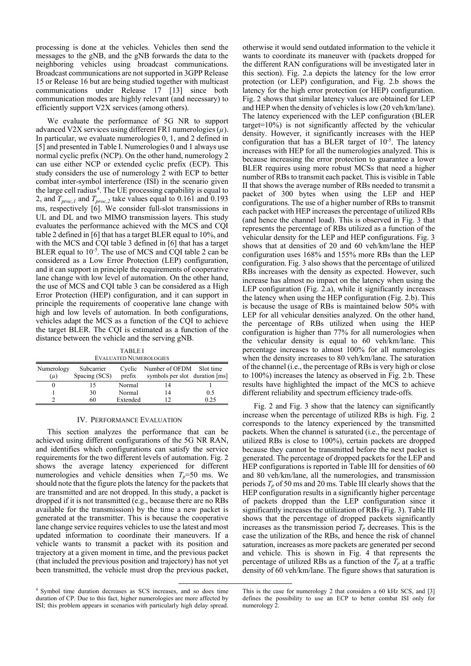processing is done at the vehicles. Vehicles then send the messages to the gNB, and the gNB forwards the data to the neighboring vehicles using broadcast communications. Broadcast communications are not supported in 3GPP Release 15 or Release 16 but are being studied together with multicast communications under Release 17 [\[13\]](#page-4-12) since both communication modes are highly relevant (and necessary) to efficiently support V2X services (among others).

We evaluate the performance of 5G NR to support advanced V2X services using different FR1 numerologies(*µ*). In particular, we evaluate numerologies 0, 1, and 2 defined in [\[5\]](#page-4-4) and presented in Table I. Numerologies 0 and 1 always use normal cyclic prefix (NCP). On the other hand, numerology 2 can use either NCP or extended cyclic prefix (ECP). This study considers the use of numerology 2 with ECP to better combat inter-symbol interference (ISI) in the scenario given the large cell radius<sup>[4](#page-2-0)</sup>. The UE processing capability is equal to 2, and *Tproc,1* and *Tproc,2* take values equal to 0.161 and 0.193 ms, respectively [\[6\].](#page-4-5) We consider full-slot transmissions in UL and DL and two MIMO transmission layers. This study evaluates the performance achieved with the MCS and CQI table 2 defined in [\[6\]](#page-4-5) that has a target BLER equal to 10%, and with the MCS and CQI table 3 defined in [\[6\]](#page-4-5) that has a target BLER equal to 10<sup>-5</sup>. The use of MCS and CQI table 2 can be considered as a Low Error Protection (LEP) configuration, and it can support in principle the requirements of cooperative lane change with low level of automation. On the other hand, the use of MCS and CQI table 3 can be considered as a High Error Protection (HEP) configuration, and it can support in principle the requirements of cooperative lane change with high and low levels of automation. In both configurations, vehicles adapt the MCS as a function of the CQI to achieve the target BLER. The CQI is estimated as a function of the distance between the vehicle and the serving gNB.

| <b>TABLEI</b>    |
|------------------|
| LUATED NHMEROLOG |

| <b>EVALUATED NUMEROLOGIES</b> |                             |                  |                                                            |      |  |  |  |  |  |  |
|-------------------------------|-----------------------------|------------------|------------------------------------------------------------|------|--|--|--|--|--|--|
| Numerology<br>$(\mu)$         | Subcarrier<br>Spacing (SCS) | Cyclic<br>prefix | Number of OFDM Slot time<br>symbols per slot duration [ms] |      |  |  |  |  |  |  |
|                               | 15                          | Normal           |                                                            |      |  |  |  |  |  |  |
|                               | 30                          | Normal           | 14                                                         | 0.5  |  |  |  |  |  |  |
|                               | 60                          | Extended         |                                                            | 0.25 |  |  |  |  |  |  |

## IV. PERFORMANCE EVALUATION

This section analyzes the performance that can be achieved using different configurations of the 5G NR RAN, and identifies which configurations can satisfy the service requirements for the two different levels of automation. [Fig. 2](#page-3-0) shows the average latency experienced for different numerologies and vehicle densities when  $T_p$ =50 ms. We should note that the figure plots the latency for the packets that are transmitted and are not dropped. In this study, a packet is dropped if it is not transmitted (e.g., because there are no RBs available for the transmission) by the time a new packet is generated at the transmitter. This is because the cooperative lane change service requires vehicles to use the latest and most updated information to coordinate their maneuvers. If a vehicle wants to transmit a packet with its position and trajectory at a given moment in time, and the previous packet (that included the previous position and trajectory) has not yet been transmitted, the vehicle must drop the previous packet,

otherwise it would send outdated information to the vehicle it wants to coordinate its maneuver with (packets dropped for the different RAN configurations will be investigated later in this section). [Fig. 2.](#page-3-0)a depicts the latency for the low error protection (or LEP) configuration, and [Fig. 2.](#page-3-0)b shows the latency for the high error protection (or HEP) configuration. [Fig. 2](#page-3-0) shows that similar latency values are obtained for LEP and HEP when the density of vehicles is low (20 veh/km/lane). The latency experienced with the LEP configuration (BLER target= $10\%$ ) is not significantly affected by the vehicular density. However, it significantly increases with the HEP configuration that has a BLER target of 10-5 . The latency increases with HEP for all the numerologies analyzed. This is because increasing the error protection to guarantee a lower BLER requires using more robust MCSs that need a higher number of RBs to transmit each packet. This is visible in Table II that shows the average number of RBs needed to transmit a packet of 300 bytes when using the LEP and HEP configurations. The use of a higher number of RBs to transmit each packet with HEP increases the percentage of utilized RBs (and hence the channel load). This is observed in [Fig. 3](#page-3-1) that represents the percentage of RBs utilized as a function of the vehicular density for the LEP and HEP configurations[. Fig. 3](#page-3-1) shows that at densities of 20 and 60 veh/km/lane the HEP configuration uses 168% and 155% more RBs than the LEP configuration. [Fig. 3](#page-3-1) also shows that the percentage of utilized RBs increases with the density as expected. However, such increase has almost no impact on the latency when using the LEP configuration [\(Fig. 2.a](#page-3-0)), while it significantly increases the latency when using the HEP configuration [\(Fig. 2.](#page-3-0)b). This is because the usage of RBs is maintained below 50% with LEP for all vehicular densities analyzed. On the other hand, the percentage of RBs utilized when using the HEP configuration is higher than 77% for all numerologies when the vehicular density is equal to 60 veh/km/lane. This percentage increases to almost 100% for all numerologies when the density increases to 80 veh/km/lane. The saturation of the channel (i.e., the percentage of RBs is very high or close to 100%) increases the latency as observed in [Fig. 2.](#page-3-0)b. These results have highlighted the impact of the MCS to achieve different reliability and spectrum efficiency trade-offs.

[Fig. 2](#page-3-0) and [Fig. 3](#page-3-1) show that the latency can significantly increase when the percentage of utilized RBs is high. [Fig. 2](#page-3-0) corresponds to the latency experienced by the transmitted packets. When the channel is saturated (i.e., the percentage of utilized RBs is close to 100%), certain packets are dropped because they cannot be transmitted before the next packet is generated. The percentage of dropped packets for the LEP and HEP configurations is reported in Table III for densities of 60 and 80 veh/km/lane, all the numerologies, and transmission periods  $T_p$  of 50 ms and 20 ms. Table III clearly shows that the HEP configuration results in a significantly higher percentage of packets dropped than the LEP configuration since it significantly increases the utilization of RBs [\(Fig. 3\)](#page-3-1). Table III shows that the percentage of dropped packets significantly increases as the transmission period  $T_p$  decreases. This is the case the utilization of the RBs, and hence the risk of channel saturation, increases as more packets are generated per second and vehicle. This is shown in [Fig. 4](#page-3-2) that represents the percentage of utilized RBs as a function of the  $T_p$  at a traffic density of 60 veh/km/lane. The figure shows that saturation is

<span id="page-2-0"></span><sup>4</sup> Symbol time duration decreases as SCS increases, and so does time duration of CP. Due to this fact, higher numerologies are more affected by ISI; this problem appears in scenarios with particularly high delay spread.

This is the case for numerology 2 that considers a 60 kHz SCS, and [3] defines the possibility to use an ECP to better combat ISI only for numerology 2.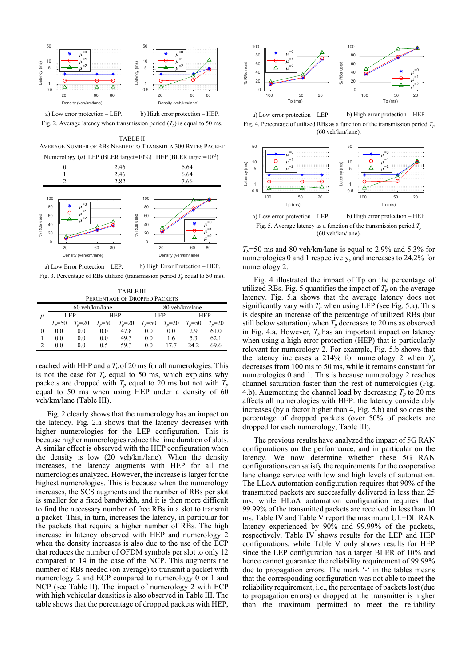

<span id="page-3-0"></span>Fig. 2. Average latency when transmission period  $(T_p)$  is equal to 50 ms.



<span id="page-3-1"></span>Fig. 3. Percentage of RBs utilized (transmission period  $T_p$  equal to 50 ms).

TABLE III PERCENTAGE OF DROPPED PACKETS

|       |                |            | 60 veh/km/lane |              |                 |                  | 80 veh/km/lane |            |  |
|-------|----------------|------------|----------------|--------------|-----------------|------------------|----------------|------------|--|
| $\mu$ | LEP            |            |                | <b>HEP</b>   | LEP <sub></sub> |                  | <b>HEP</b>     |            |  |
|       | $T_{\rm g}=50$ | $T_e = 20$ | $z = 50$       | $T_{n} = 20$ | $T_{n} = 50$    | $r_{\rm e} = 20$ | $T_e = 50$     | $T_e = 20$ |  |
| 0     | 0.0            | 0.0        | 0.0            | 47.8         | 0.0             | 0.0              | 2.9            | 61.0       |  |
|       | 0.0            | 0.0        | 0.0            | 49.3         | 0.0             | 1.6              | 5.3            | 62.1       |  |
|       | 0.0            | 0.0        | 0.5            | 59.3         | 0.0             |                  | 24.2           | 69.6       |  |

reached with HEP and a  $T_p$  of 20 ms for all numerologies. This is not the case for  $T_p$  equal to 50 ms, which explains why packets are dropped with  $T_p$  equal to 20 ms but not with  $T_p$ equal to 50 ms when using HEP under a density of 60 veh/km/lane (Table III).

[Fig. 2](#page-3-0) clearly shows that the numerology has an impact on the latency. [Fig. 2.a](#page-3-0) shows that the latency decreases with higher numerologies for the LEP configuration. This is because higher numerologies reduce the time duration of slots. A similar effect is observed with the HEP configuration when the density is low (20 veh/km/lane). When the density increases, the latency augments with HEP for all the numerologies analyzed. However, the increase is larger for the highest numerologies. This is because when the numerology increases, the SCS augments and the number of RBs per slot is smaller for a fixed bandwidth, and it is then more difficult to find the necessary number of free RBs in a slot to transmit a packet. This, in turn, increases the latency, in particular for the packets that require a higher number of RBs. The high increase in latency observed with HEP and numerology 2 when the density increases is also due to the use of the ECP that reduces the number of OFDM symbols per slot to only 12 compared to 14 in the case of the NCP. This augments the number of RBs needed (on average) to transmit a packet with numerology 2 and ECP compared to numerology 0 or 1 and NCP (see Table II). The impact of numerology 2 with ECP with high vehicular densities is also observed in Table III. The table shows that the percentage of dropped packets with HEP,



<span id="page-3-2"></span>a) Low error protection  $-\text{LEP}$  b) High error protection  $-\text{HEP}$ Fig. 4. Percentage of utilized RBs as a function of the transmission period  $T_p$ (60 veh/km/lane).



<span id="page-3-3"></span>*Tp*=50 ms and 80 veh/km/lane is equal to 2.9% and 5.3% for numerologies 0 and 1 respectively, and increases to 24.2% for numerology 2.

[Fig. 4](#page-3-2) illustrated the impact of Tp on the percentage of utilized RBs. [Fig. 5](#page-3-3) quantifies the impact of  $T_p$  on the average latency. [Fig. 5.](#page-3-3)a shows that the average latency does not significantly vary with  $T_p$  when using LEP (se[e Fig. 5.a](#page-3-3)). This is despite an increase of the percentage of utilized RBs (but still below saturation) when  $T_p$  decreases to 20 ms as observed in [Fig. 4.](#page-3-2)a. However,  $T_p$  has an important impact on latency when using a high error protection (HEP) that is particularly relevant for numerology 2. For example, [Fig. 5.](#page-3-3)b shows that the latency increases a 214% for numerology 2 when  $T_p$ decreases from 100 ms to 50 ms, while it remains constant for numerologies 0 and 1. This is because numerology 2 reaches channel saturation faster than the rest of numerologies [\(Fig.](#page-3-2)  [4.](#page-3-2)b). Augmenting the channel load by decreasing  $T_p$  to 20 ms affects all numerologies with HEP: the latency considerably increases (by a factor higher than 4, [Fig. 5.](#page-3-3)b) and so does the percentage of dropped packets (over 50% of packets are dropped for each numerology, Table III).

The previous results have analyzed the impact of 5G RAN configurations on the performance, and in particular on the latency. We now determine whether these 5G RAN configurations can satisfy the requirements for the cooperative lane change service with low and high levels of automation. The LLoA automation configuration requires that 90% of the transmitted packets are successfully delivered in less than 25 ms, while HLoA automation configuration requires that 99.99% of the transmitted packets are received in less than 10 ms. Table IV and Table V report the maximum UL+DL RAN latency experienced by 90% and 99.99% of the packets, respectively. Table IV shows results for the LEP and HEP configurations, while Table V only shows results for HEP since the LEP configuration has a target BLER of 10% and hence cannot guarantee the reliability requirement of 99.99% due to propagation errors. The mark '-' in the tables means that the corresponding configuration was not able to meet the reliability requirement, i.e., the percentage of packets lost (due to propagation errors) or dropped at the transmitter is higher than the maximum permitted to meet the reliability